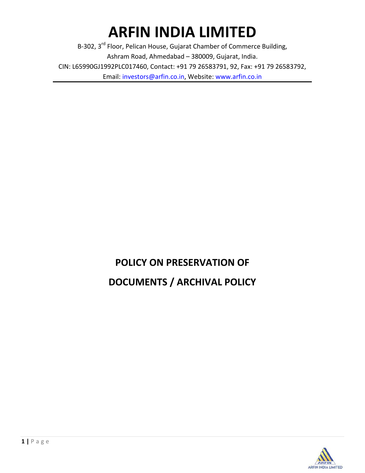# **ARFIN INDIA LIMITED**

B-302, 3<sup>rd</sup> Floor, Pelican House, Gujarat Chamber of Commerce Building, Ashram Road, Ahmedabad – 380009, Gujarat, India. CIN: L65990GJ1992PLC017460, Contact: +91 79 26583791, 92, Fax: +91 79 26583792, Email: investors@arfin.co.in, Website: www.arfin.co.in

# **POLICY ON PRESERVATION OF DOCUMENTS / ARCHIVAL POLICY**

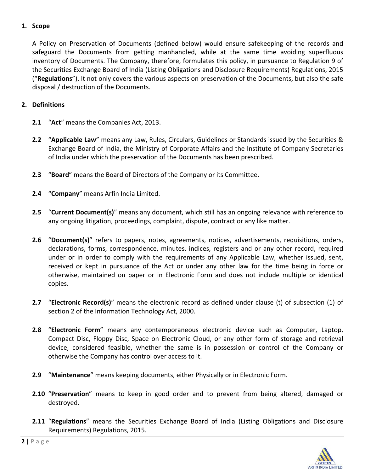#### **1. Scope**

A Policy on Preservation of Documents (defined below) would ensure safekeeping of the records and safeguard the Documents from getting manhandled, while at the same time avoiding superfluous inventory of Documents. The Company, therefore, formulates this policy, in pursuance to Regulation 9 of the Securities Exchange Board of India (Listing Obligations and Disclosure Requirements) Regulations, 2015 ("**Regulations**"). It not only covers the various aspects on preservation of the Documents, but also the safe disposal / destruction of the Documents.

#### **2. Definitions**

- **2.1** "**Act**" means the Companies Act, 2013.
- **2.2** "**Applicable Law**" means any Law, Rules, Circulars, Guidelines or Standards issued by the Securities & Exchange Board of India, the Ministry of Corporate Affairs and the Institute of Company Secretaries of India under which the preservation of the Documents has been prescribed.
- **2.3** "**Board**" means the Board of Directors of the Company or its Committee.
- **2.4** "**Company**" means Arfin India Limited.
- **2.5** "**Current Document(s)**" means any document, which still has an ongoing relevance with reference to any ongoing litigation, proceedings, complaint, dispute, contract or any like matter.
- **2.6** "**Document(s)**" refers to papers, notes, agreements, notices, advertisements, requisitions, orders, declarations, forms, correspondence, minutes, indices, registers and or any other record, required under or in order to comply with the requirements of any Applicable Law, whether issued, sent, received or kept in pursuance of the Act or under any other law for the time being in force or otherwise, maintained on paper or in Electronic Form and does not include multiple or identical copies.
- **2.7** "**Electronic Record(s)**" means the electronic record as defined under clause (t) of subsection (1) of section 2 of the Information Technology Act, 2000.
- **2.8** "**Electronic Form**" means any contemporaneous electronic device such as Computer, Laptop, Compact Disc, Floppy Disc, Space on Electronic Cloud, or any other form of storage and retrieval device, considered feasible, whether the same is in possession or control of the Company or otherwise the Company has control over access to it.
- **2.9** "**Maintenance**" means keeping documents, either Physically or in Electronic Form.
- **2.10** "**Preservation**" means to keep in good order and to prevent from being altered, damaged or destroyed.
- **2.11** "**Regulations**" means the Securities Exchange Board of India (Listing Obligations and Disclosure Requirements) Regulations, 2015.

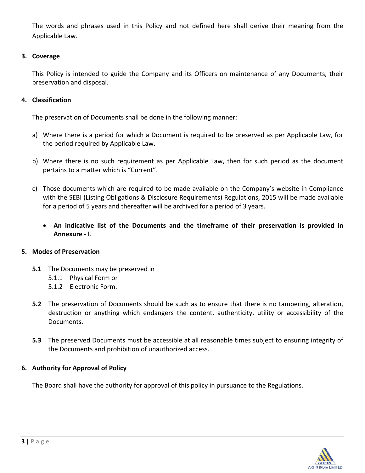The words and phrases used in this Policy and not defined here shall derive their meaning from the Applicable Law.

#### **3. Coverage**

This Policy is intended to guide the Company and its Officers on maintenance of any Documents, their preservation and disposal.

#### **4. Classification**

The preservation of Documents shall be done in the following manner:

- a) Where there is a period for which a Document is required to be preserved as per Applicable Law, for the period required by Applicable Law.
- b) Where there is no such requirement as per Applicable Law, then for such period as the document pertains to a matter which is "Current".
- c) Those documents which are required to be made available on the Company's website in Compliance with the SEBI (Listing Obligations & Disclosure Requirements) Regulations, 2015 will be made available for a period of 5 years and thereafter will be archived for a period of 3 years.
	- **An indicative list of the Documents and the timeframe of their preservation is provided in Annexure ‐ I**.

## **5. Modes of Preservation**

- **5.1** The Documents may be preserved in
	- 5.1.1 Physical Form or
	- 5.1.2 Electronic Form.
- **5.2** The preservation of Documents should be such as to ensure that there is no tampering, alteration, destruction or anything which endangers the content, authenticity, utility or accessibility of the Documents.
- **5.3** The preserved Documents must be accessible at all reasonable times subject to ensuring integrity of the Documents and prohibition of unauthorized access.

## **6. Authority for Approval of Policy**

The Board shall have the authority for approval of this policy in pursuance to the Regulations.

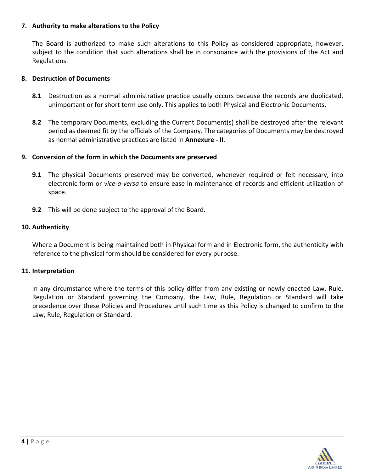#### **7. Authority to make alterations to the Policy**

The Board is authorized to make such alterations to this Policy as considered appropriate, however, subject to the condition that such alterations shall be in consonance with the provisions of the Act and Regulations.

#### **8. Destruction of Documents**

- **8.1** Destruction as a normal administrative practice usually occurs because the records are duplicated, unimportant or for short term use only. This applies to both Physical and Electronic Documents.
- **8.2** The temporary Documents, excluding the Current Document(s) shall be destroyed after the relevant period as deemed fit by the officials of the Company. The categories of Documents may be destroyed as normal administrative practices are listed in **Annexure ‐ II**.

#### **9. Conversion of the form in which the Documents are preserved**

- **9.1** The physical Documents preserved may be converted, whenever required or felt necessary, into electronic form or *vice‐a‐versa* to ensure ease in maintenance of records and efficient utilization of space.
- **9.2** This will be done subject to the approval of the Board.

#### **10. Authenticity**

Where a Document is being maintained both in Physical form and in Electronic form, the authenticity with reference to the physical form should be considered for every purpose.

#### **11. Interpretation**

In any circumstance where the terms of this policy differ from any existing or newly enacted Law, Rule, Regulation or Standard governing the Company, the Law, Rule, Regulation or Standard will take precedence over these Policies and Procedures until such time as this Policy is changed to confirm to the Law, Rule, Regulation or Standard.

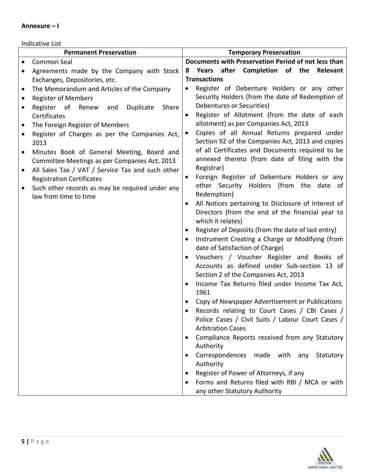#### **Annexure – I**

#### Indicative List

|           | <b>Permanent Preservation</b>                     |           | <b>Temporary Preservation</b>                                         |
|-----------|---------------------------------------------------|-----------|-----------------------------------------------------------------------|
|           | Common Seal                                       |           | Documents with Preservation Period of not less than                   |
|           | Agreements made by the Company with Stock         | 8         | Years after Completion of the Relevant                                |
|           | Exchanges, Depositories, etc.                     |           | <b>Transactions</b>                                                   |
| $\bullet$ | The Memorandum and Articles of the Company        | $\bullet$ | Register of Debenture Holders or any other                            |
| $\bullet$ | <b>Register of Members</b>                        |           | Security Holders (from the date of Redemption of                      |
| $\bullet$ | Register of<br>Renew<br>and<br>Duplicate<br>Share |           | Debentures or Securities)                                             |
|           | Certificates                                      |           | Register of Allotment (from the date of each                          |
| $\bullet$ | The Foreign Register of Members                   |           | allotment) as per Companies Act, 2013                                 |
| $\bullet$ | Register of Charges as per the Companies Act,     |           | Copies of all Annual Returns prepared under                           |
|           | 2013                                              |           | Section 92 of the Companies Act, 2013 and copies                      |
| $\bullet$ | Minutes Book of General Meeting, Board and        |           | of all Certificates and Documents required to be                      |
|           | Committee Meetings as per Companies Act, 2013     |           | annexed thereto (from date of filing with the                         |
| $\bullet$ | All Sales Tax / VAT / Service Tax and such other  |           | Registrar)                                                            |
|           | <b>Registration Certificates</b>                  | $\bullet$ | Foreign Register of Debenture Holders or any                          |
|           | Such other records as may be required under any   |           | other Security Holders (from the date of                              |
|           | law from time to time                             |           | Redemption)                                                           |
|           |                                                   | $\bullet$ | All Notices pertaining to Disclosure of Interest of                   |
|           |                                                   |           | Directors (from the end of the financial year to<br>which it relates) |
|           |                                                   | $\bullet$ | Register of Deposits (from the date of last entry)                    |
|           |                                                   |           | Instrument Creating a Charge or Modifying (from                       |
|           |                                                   |           | date of Satisfaction of Charge)                                       |
|           |                                                   |           | Vouchers / Voucher Register and Books of                              |
|           |                                                   |           | Accounts as defined under Sub-section 13 of                           |
|           |                                                   |           | Section 2 of the Companies Act, 2013                                  |
|           |                                                   |           | Income Tax Returns filed under Income Tax Act,                        |
|           |                                                   |           | 1961                                                                  |
|           |                                                   |           | Copy of Newspaper Advertisement or Publications                       |
|           |                                                   |           | Records relating to Court Cases / CBI Cases /                         |
|           |                                                   |           | Police Cases / Civil Suits / Labour Court Cases /                     |
|           |                                                   |           | <b>Arbitration Cases</b>                                              |
|           |                                                   |           | Compliance Reports received from any Statutory                        |
|           |                                                   |           | Authority                                                             |
|           |                                                   |           | Correspondences made with any<br>Statutory                            |
|           |                                                   |           | Authority                                                             |
|           |                                                   |           | Register of Power of Attorneys, if any                                |
|           |                                                   |           | Forms and Returns filed with RBI / MCA or with                        |
|           |                                                   |           | any other Statutory Authority                                         |